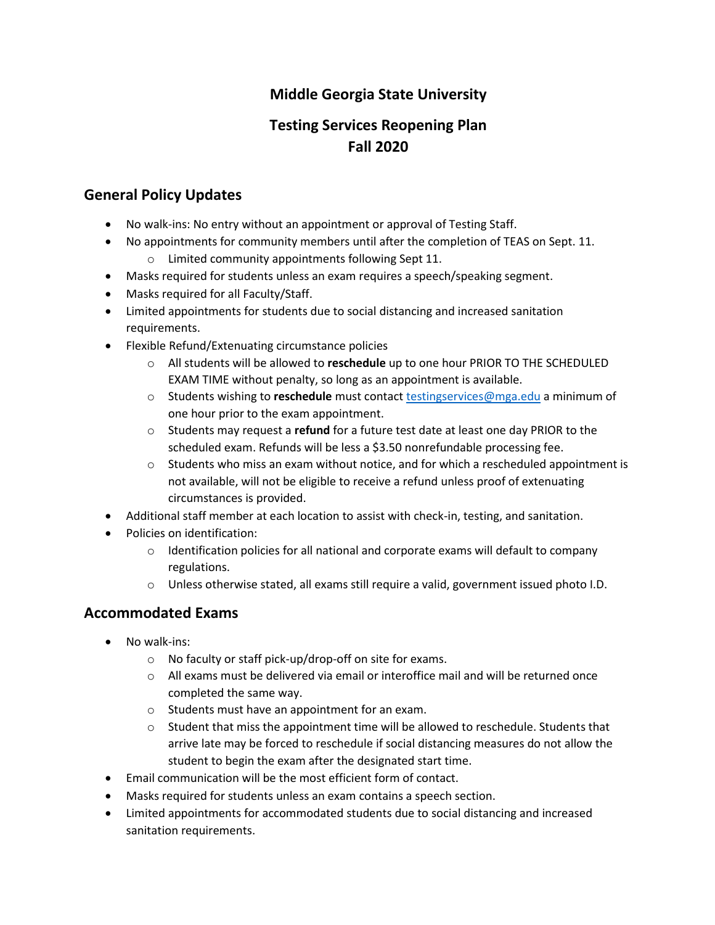# **Middle Georgia State University**

# **Testing Services Reopening Plan Fall 2020**

### **General Policy Updates**

- No walk-ins: No entry without an appointment or approval of Testing Staff.
- No appointments for community members until after the completion of TEAS on Sept. 11.
	- o Limited community appointments following Sept 11.
- Masks required for students unless an exam requires a speech/speaking segment.
- Masks required for all Faculty/Staff.
- Limited appointments for students due to social distancing and increased sanitation requirements.
- Flexible Refund/Extenuating circumstance policies
	- o All students will be allowed to **reschedule** up to one hour PRIOR TO THE SCHEDULED EXAM TIME without penalty, so long as an appointment is available.
	- o Students wishing to **reschedule** must contact [testingservices@mga.edu](mailto:testingservices@mga.edu) a minimum of one hour prior to the exam appointment.
	- o Students may request a **refund** for a future test date at least one day PRIOR to the scheduled exam. Refunds will be less a \$3.50 nonrefundable processing fee.
	- $\circ$  Students who miss an exam without notice, and for which a rescheduled appointment is not available, will not be eligible to receive a refund unless proof of extenuating circumstances is provided.
- Additional staff member at each location to assist with check-in, testing, and sanitation.
- Policies on identification:
	- $\circ$  Identification policies for all national and corporate exams will default to company regulations.
	- o Unless otherwise stated, all exams still require a valid, government issued photo I.D.

### **Accommodated Exams**

- No walk-ins:
	- o No faculty or staff pick-up/drop-off on site for exams.
	- $\circ$  All exams must be delivered via email or interoffice mail and will be returned once completed the same way.
	- o Students must have an appointment for an exam.
	- $\circ$  Student that miss the appointment time will be allowed to reschedule. Students that arrive late may be forced to reschedule if social distancing measures do not allow the student to begin the exam after the designated start time.
- Email communication will be the most efficient form of contact.
- Masks required for students unless an exam contains a speech section.
- Limited appointments for accommodated students due to social distancing and increased sanitation requirements.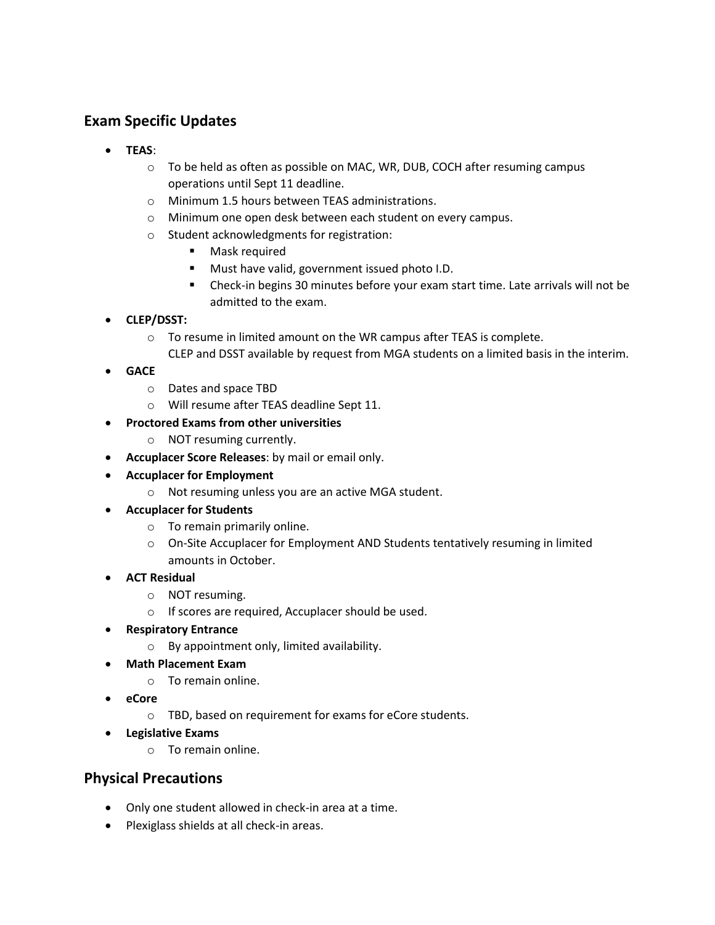# **Exam Specific Updates**

- **TEAS**:
	- o To be held as often as possible on MAC, WR, DUB, COCH after resuming campus operations until Sept 11 deadline.
	- o Minimum 1.5 hours between TEAS administrations.
	- o Minimum one open desk between each student on every campus.
	- o Student acknowledgments for registration:
		- Mask required
		- Must have valid, government issued photo I.D.
		- Check-in begins 30 minutes before your exam start time. Late arrivals will not be admitted to the exam.
- **CLEP/DSST:** 
	- o To resume in limited amount on the WR campus after TEAS is complete. CLEP and DSST available by request from MGA students on a limited basis in the interim.
- **GACE**
	- o Dates and space TBD
	- o Will resume after TEAS deadline Sept 11.

#### • **Proctored Exams from other universities**

- o NOT resuming currently.
- **Accuplacer Score Releases**: by mail or email only.
- **Accuplacer for Employment**
	- o Not resuming unless you are an active MGA student.
- **Accuplacer for Students**
	- o To remain primarily online.
	- o On-Site Accuplacer for Employment AND Students tentatively resuming in limited amounts in October.
- **ACT Residual**
	- o NOT resuming.
	- o If scores are required, Accuplacer should be used.
- **Respiratory Entrance**
	- o By appointment only, limited availability.
- **Math Placement Exam**
	- o To remain online.
- **eCore**
	- o TBD, based on requirement for exams for eCore students.
- **Legislative Exams**
	- o To remain online.

### **Physical Precautions**

- Only one student allowed in check-in area at a time.
- Plexiglass shields at all check-in areas.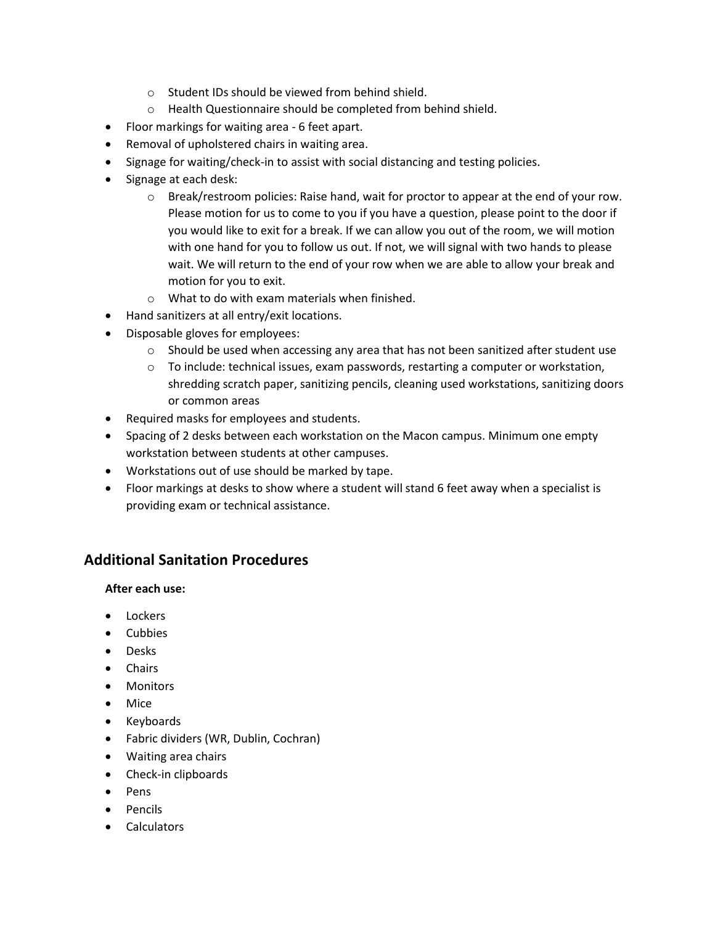- o Student IDs should be viewed from behind shield.
- o Health Questionnaire should be completed from behind shield.
- Floor markings for waiting area 6 feet apart.
- Removal of upholstered chairs in waiting area.
- Signage for waiting/check-in to assist with social distancing and testing policies.
- Signage at each desk:
	- $\circ$  Break/restroom policies: Raise hand, wait for proctor to appear at the end of your row. Please motion for us to come to you if you have a question, please point to the door if you would like to exit for a break. If we can allow you out of the room, we will motion with one hand for you to follow us out. If not, we will signal with two hands to please wait. We will return to the end of your row when we are able to allow your break and motion for you to exit.
	- o What to do with exam materials when finished.
- Hand sanitizers at all entry/exit locations.
- Disposable gloves for employees:
	- $\circ$  Should be used when accessing any area that has not been sanitized after student use
	- $\circ$  To include: technical issues, exam passwords, restarting a computer or workstation, shredding scratch paper, sanitizing pencils, cleaning used workstations, sanitizing doors or common areas
- Required masks for employees and students.
- Spacing of 2 desks between each workstation on the Macon campus. Minimum one empty workstation between students at other campuses.
- Workstations out of use should be marked by tape.
- Floor markings at desks to show where a student will stand 6 feet away when a specialist is providing exam or technical assistance.

### **Additional Sanitation Procedures**

#### **After each use:**

- Lockers
- Cubbies
- Desks
- Chairs
- Monitors
- Mice
- Keyboards
- Fabric dividers (WR, Dublin, Cochran)
- Waiting area chairs
- Check-in clipboards
- Pens
- Pencils
- Calculators